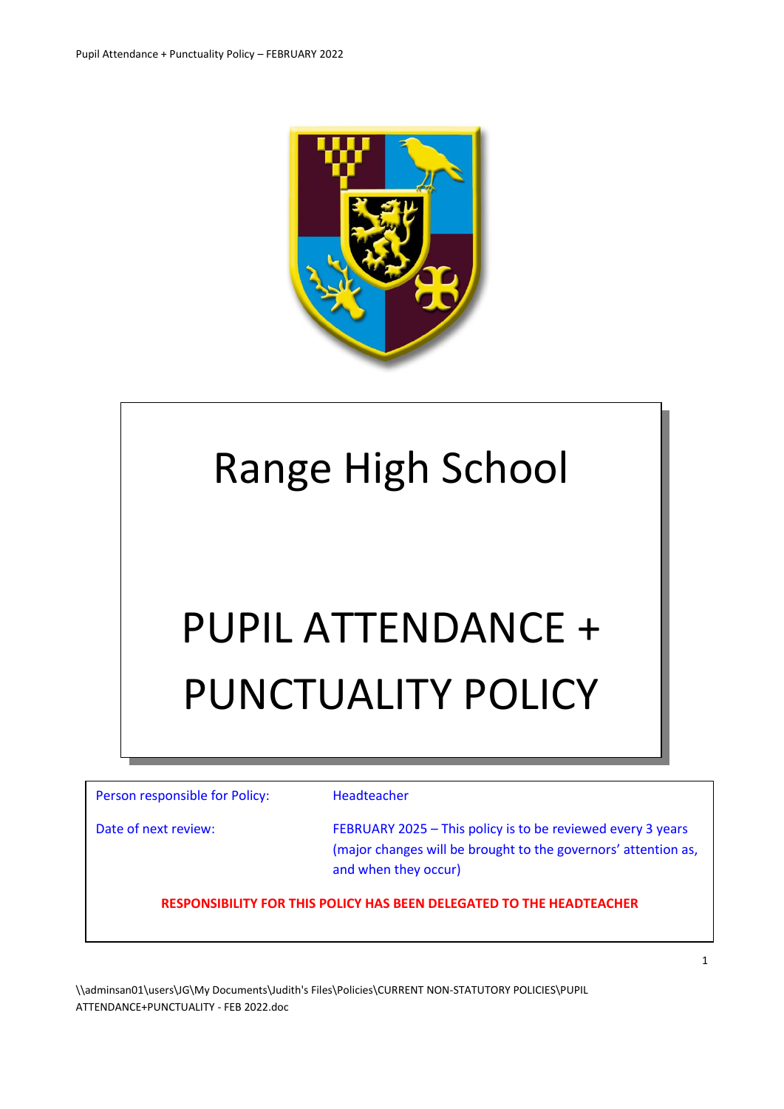

# Range High School

# PUPIL ATTENDANCE + PUNCTUALITY POLICY

| Person responsible for Policy: | Headteacher                                                                                                                                           |
|--------------------------------|-------------------------------------------------------------------------------------------------------------------------------------------------------|
| Date of next review:           | FEBRUARY 2025 - This policy is to be reviewed every 3 years<br>(major changes will be brought to the governors' attention as,<br>and when they occur) |
|                                | RESPONSIBILITY FOR THIS POLICY HAS BEEN DELEGATED TO THE HEADTEACHER                                                                                  |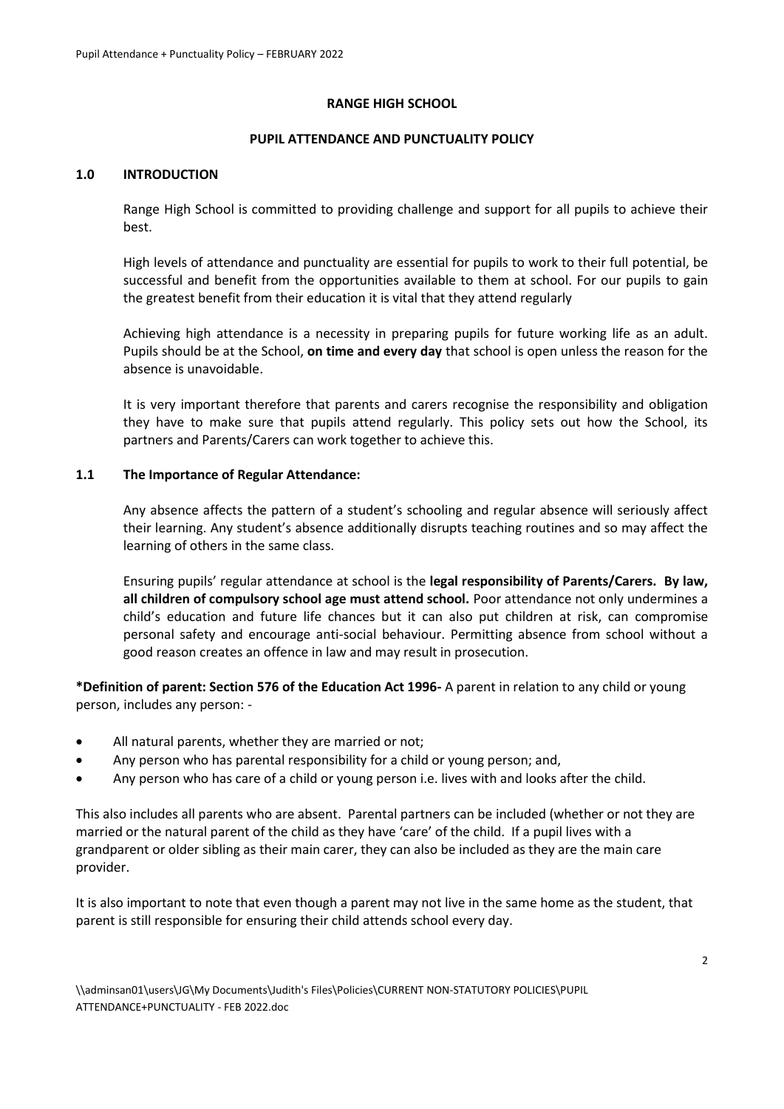#### **RANGE HIGH SCHOOL**

#### **PUPIL ATTENDANCE AND PUNCTUALITY POLICY**

#### **1.0 INTRODUCTION**

Range High School is committed to providing challenge and support for all pupils to achieve their best.

High levels of attendance and punctuality are essential for pupils to work to their full potential, be successful and benefit from the opportunities available to them at school. For our pupils to gain the greatest benefit from their education it is vital that they attend regularly

Achieving high attendance is a necessity in preparing pupils for future working life as an adult. Pupils should be at the School, **on time and every day** that school is open unless the reason for the absence is unavoidable.

It is very important therefore that parents and carers recognise the responsibility and obligation they have to make sure that pupils attend regularly. This policy sets out how the School, its partners and Parents/Carers can work together to achieve this.

#### **1.1 The Importance of Regular Attendance:**

Any absence affects the pattern of a student's schooling and regular absence will seriously affect their learning. Any student's absence additionally disrupts teaching routines and so may affect the learning of others in the same class.

Ensuring pupils' regular attendance at school is the **legal responsibility of Parents/Carers. By law, all children of compulsory school age must attend school.** Poor attendance not only undermines a child's education and future life chances but it can also put children at risk, can compromise personal safety and encourage anti-social behaviour. Permitting absence from school without a good reason creates an offence in law and may result in prosecution.

**\*Definition of parent: Section 576 of the Education Act 1996-** A parent in relation to any child or young person, includes any person: -

- All natural parents, whether they are married or not;
- Any person who has parental responsibility for a child or young person; and,
- Any person who has care of a child or young person i.e. lives with and looks after the child.

This also includes all parents who are absent. Parental partners can be included (whether or not they are married or the natural parent of the child as they have 'care' of the child. If a pupil lives with a grandparent or older sibling as their main carer, they can also be included as they are the main care provider.

It is also important to note that even though a parent may not live in the same home as the student, that parent is still responsible for ensuring their child attends school every day.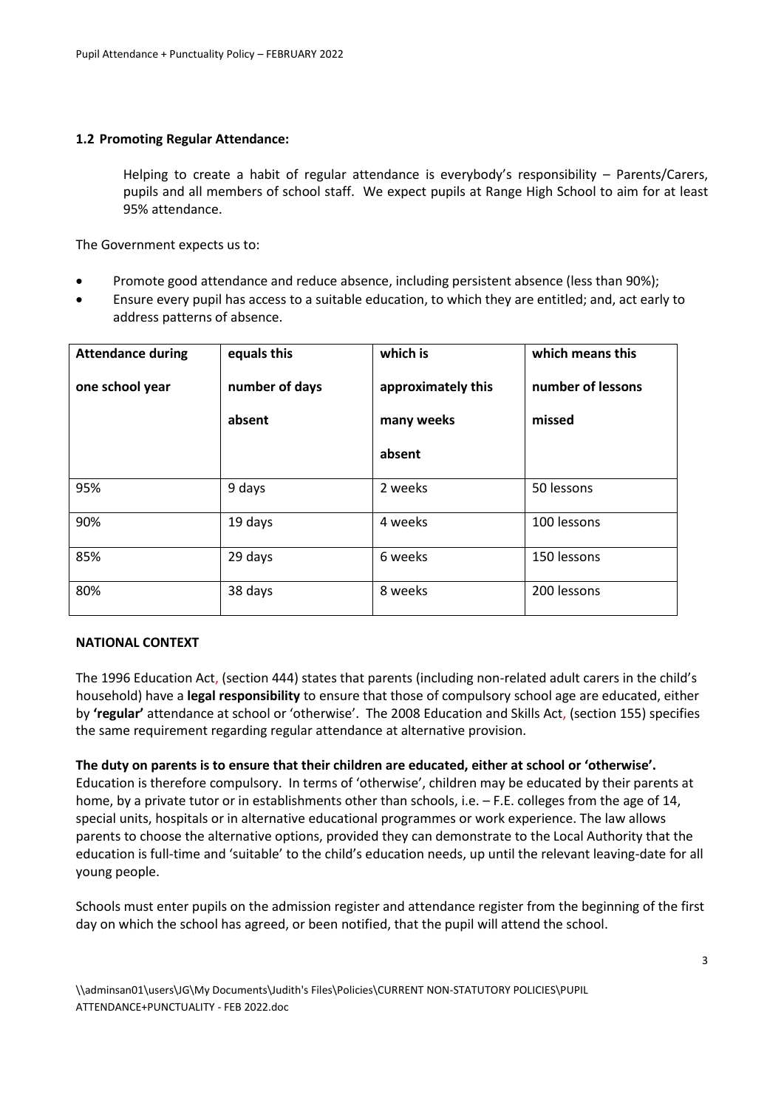#### **1.2 Promoting Regular Attendance:**

Helping to create a habit of regular attendance is everybody's responsibility – Parents/Carers, pupils and all members of school staff. We expect pupils at Range High School to aim for at least 95% attendance.

The Government expects us to:

- Promote good attendance and reduce absence, including persistent absence (less than 90%);
- Ensure every pupil has access to a suitable education, to which they are entitled; and, act early to address patterns of absence.

| <b>Attendance during</b> | equals this    | which is           | which means this  |
|--------------------------|----------------|--------------------|-------------------|
| one school year          | number of days | approximately this | number of lessons |
|                          | absent         | many weeks         | missed            |
|                          |                | absent             |                   |
| 95%                      | 9 days         | 2 weeks            | 50 lessons        |
| 90%                      | 19 days        | 4 weeks            | 100 lessons       |
| 85%                      | 29 days        | 6 weeks            | 150 lessons       |
| 80%                      | 38 days        | 8 weeks            | 200 lessons       |

#### **NATIONAL CONTEXT**

The 1996 Education Act, (section 444) states that parents (including non-related adult carers in the child's household) have a **legal responsibility** to ensure that those of compulsory school age are educated, either by **'regular'** attendance at school or 'otherwise'. The 2008 Education and Skills Act, (section 155) specifies the same requirement regarding regular attendance at alternative provision.

**The duty on parents is to ensure that their children are educated, either at school or 'otherwise'.**  Education is therefore compulsory. In terms of 'otherwise', children may be educated by their parents at home, by a private tutor or in establishments other than schools, i.e. – F.E. colleges from the age of 14, special units, hospitals or in alternative educational programmes or work experience. The law allows parents to choose the alternative options, provided they can demonstrate to the Local Authority that the education is full-time and 'suitable' to the child's education needs, up until the relevant leaving-date for all young people.

Schools must enter pupils on the admission register and attendance register from the beginning of the first day on which the school has agreed, or been notified, that the pupil will attend the school.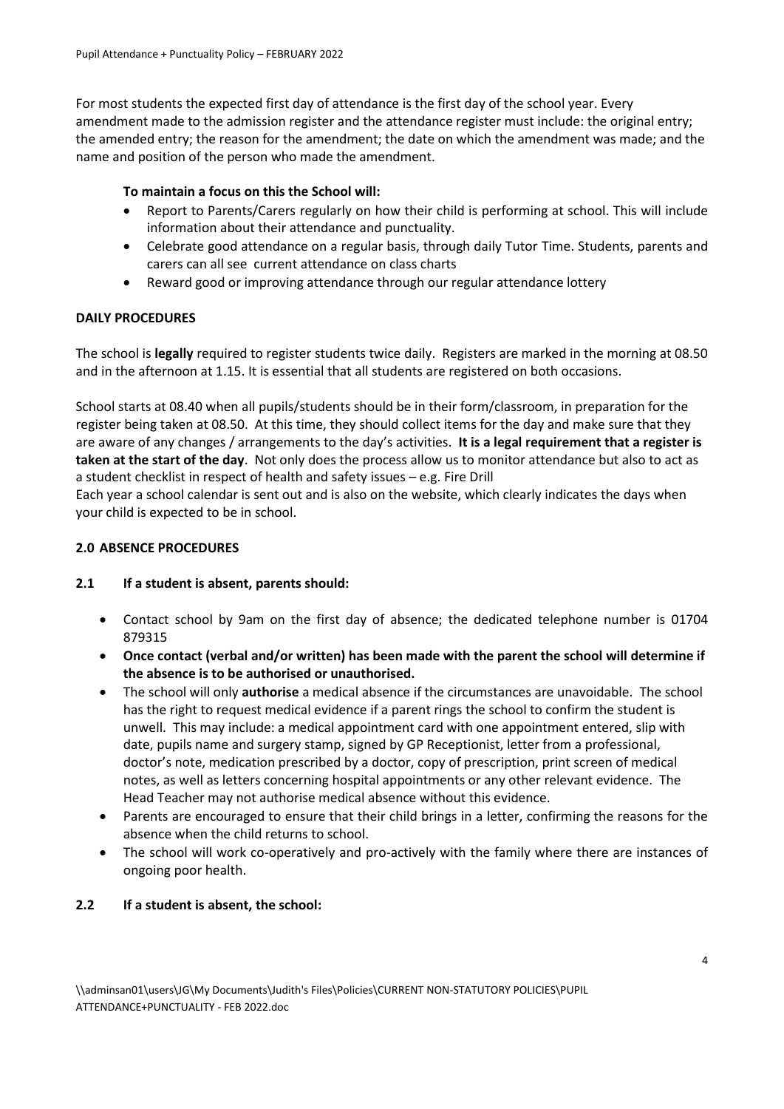For most students the expected first day of attendance is the first day of the school year. Every amendment made to the admission register and the attendance register must include: the original entry; the amended entry; the reason for the amendment; the date on which the amendment was made; and the name and position of the person who made the amendment.

# **To maintain a focus on this the School will:**

- Report to Parents/Carers regularly on how their child is performing at school. This will include information about their attendance and punctuality.
- Celebrate good attendance on a regular basis, through daily Tutor Time. Students, parents and carers can all see current attendance on class charts
- Reward good or improving attendance through our regular attendance lottery

# **DAILY PROCEDURES**

The school is **legally** required to register students twice daily. Registers are marked in the morning at 08.50 and in the afternoon at 1.15. It is essential that all students are registered on both occasions.

School starts at 08.40 when all pupils/students should be in their form/classroom, in preparation for the register being taken at 08.50. At this time, they should collect items for the day and make sure that they are aware of any changes / arrangements to the day's activities. **It is a legal requirement that a register is taken at the start of the day**. Not only does the process allow us to monitor attendance but also to act as a student checklist in respect of health and safety issues – e.g. Fire Drill

Each year a school calendar is sent out and is also on the website, which clearly indicates the days when your child is expected to be in school.

# **2.0 ABSENCE PROCEDURES**

#### **2.1 If a student is absent, parents should:**

- Contact school by 9am on the first day of absence; the dedicated telephone number is 01704 879315
- **Once contact (verbal and/or written) has been made with the parent the school will determine if the absence is to be authorised or unauthorised.**
- The school will only **authorise** a medical absence if the circumstances are unavoidable. The school has the right to request medical evidence if a parent rings the school to confirm the student is unwell. This may include: a medical appointment card with one appointment entered, slip with date, pupils name and surgery stamp, signed by GP Receptionist, letter from a professional, doctor's note, medication prescribed by a doctor, copy of prescription, print screen of medical notes, as well as letters concerning hospital appointments or any other relevant evidence. The Head Teacher may not authorise medical absence without this evidence.
- Parents are encouraged to ensure that their child brings in a letter, confirming the reasons for the absence when the child returns to school.
- The school will work co-operatively and pro-actively with the family where there are instances of ongoing poor health.

# **2.2 If a student is absent, the school:**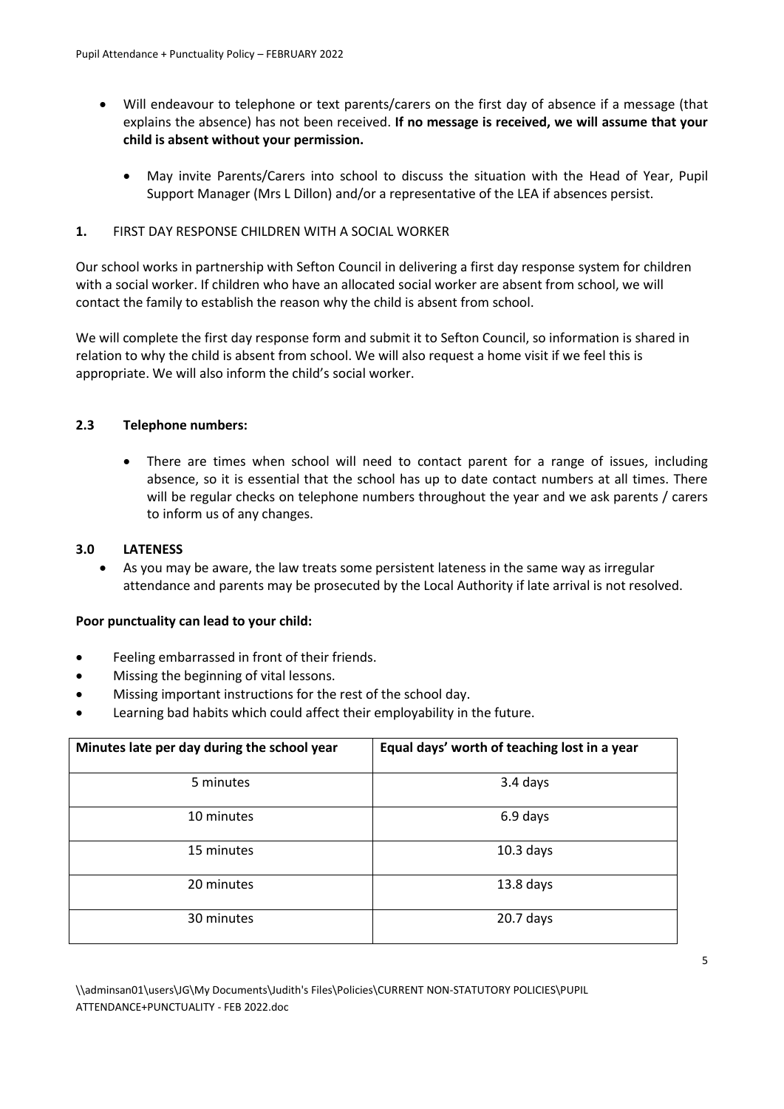- Will endeavour to telephone or text parents/carers on the first day of absence if a message (that explains the absence) has not been received. **If no message is received, we will assume that your child is absent without your permission.**
	- May invite Parents/Carers into school to discuss the situation with the Head of Year, Pupil Support Manager (Mrs L Dillon) and/or a representative of the LEA if absences persist.

# **1.** FIRST DAY RESPONSE CHILDREN WITH A SOCIAL WORKER

Our school works in partnership with Sefton Council in delivering a first day response system for children with a social worker. If children who have an allocated social worker are absent from school, we will contact the family to establish the reason why the child is absent from school.

We will complete the first day response form and submit it to Sefton Council, so information is shared in relation to why the child is absent from school. We will also request a home visit if we feel this is appropriate. We will also inform the child's social worker.

# **2.3 Telephone numbers:**

 There are times when school will need to contact parent for a range of issues, including absence, so it is essential that the school has up to date contact numbers at all times. There will be regular checks on telephone numbers throughout the year and we ask parents / carers to inform us of any changes.

#### **3.0 LATENESS**

 As you may be aware, the law treats some persistent lateness in the same way as irregular attendance and parents may be prosecuted by the Local Authority if late arrival is not resolved.

#### **Poor punctuality can lead to your child:**

- Feeling embarrassed in front of their friends.
- Missing the beginning of vital lessons.
- Missing important instructions for the rest of the school day.
- Learning bad habits which could affect their employability in the future.

| Minutes late per day during the school year | Equal days' worth of teaching lost in a year |  |
|---------------------------------------------|----------------------------------------------|--|
| 5 minutes                                   | 3.4 days                                     |  |
| 10 minutes                                  | 6.9 days                                     |  |
| 15 minutes                                  | $10.3$ days                                  |  |
| 20 minutes                                  | $13.8$ days                                  |  |
| 30 minutes                                  | $20.7$ days                                  |  |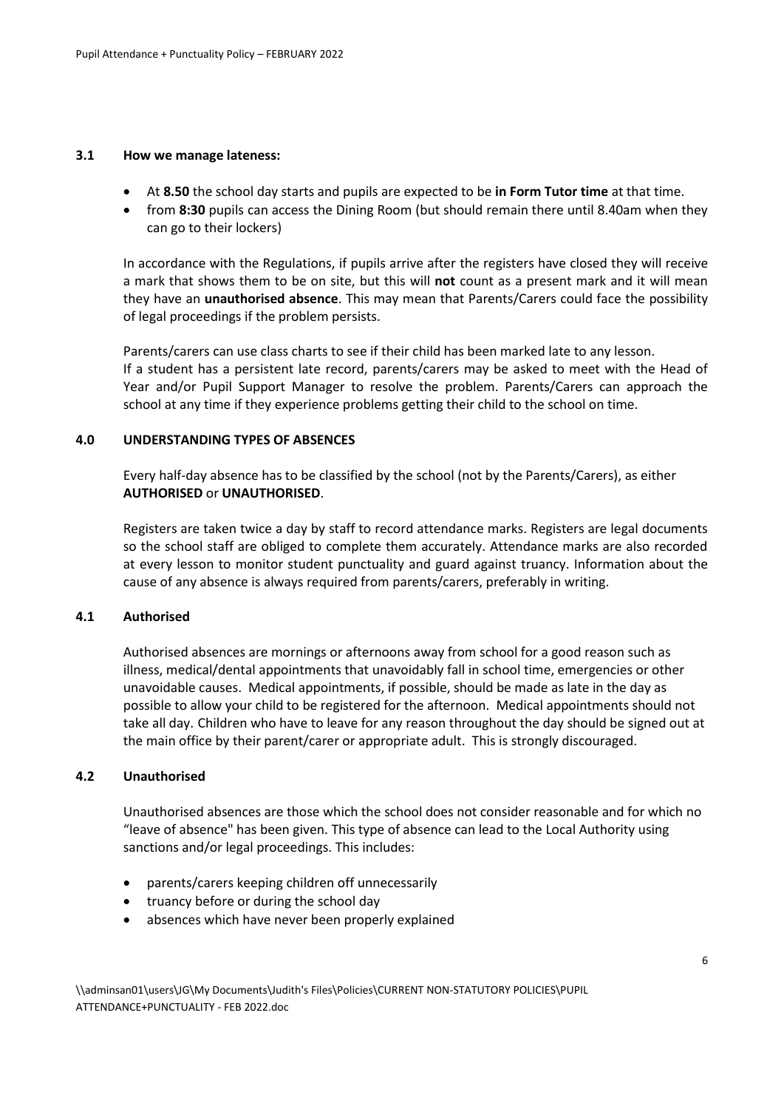#### **3.1 How we manage lateness:**

- At **8.50** the school day starts and pupils are expected to be **in Form Tutor time** at that time.
- from **8:30** pupils can access the Dining Room (but should remain there until 8.40am when they can go to their lockers)

In accordance with the Regulations, if pupils arrive after the registers have closed they will receive a mark that shows them to be on site, but this will **not** count as a present mark and it will mean they have an **unauthorised absence**. This may mean that Parents/Carers could face the possibility of legal proceedings if the problem persists.

Parents/carers can use class charts to see if their child has been marked late to any lesson. If a student has a persistent late record, parents/carers may be asked to meet with the Head of Year and/or Pupil Support Manager to resolve the problem. Parents/Carers can approach the school at any time if they experience problems getting their child to the school on time.

#### **4.0 UNDERSTANDING TYPES OF ABSENCES**

Every half-day absence has to be classified by the school (not by the Parents/Carers), as either **AUTHORISED** or **UNAUTHORISED**.

Registers are taken twice a day by staff to record attendance marks. Registers are legal documents so the school staff are obliged to complete them accurately. Attendance marks are also recorded at every lesson to monitor student punctuality and guard against truancy. Information about the cause of any absence is always required from parents/carers, preferably in writing.

#### **4.1 Authorised**

Authorised absences are mornings or afternoons away from school for a good reason such as illness, medical/dental appointments that unavoidably fall in school time, emergencies or other unavoidable causes. Medical appointments, if possible, should be made as late in the day as possible to allow your child to be registered for the afternoon. Medical appointments should not take all day. Children who have to leave for any reason throughout the day should be signed out at the main office by their parent/carer or appropriate adult. This is strongly discouraged.

#### **4.2 Unauthorised**

Unauthorised absences are those which the school does not consider reasonable and for which no "leave of absence" has been given. This type of absence can lead to the Local Authority using sanctions and/or legal proceedings. This includes:

- parents/carers keeping children off unnecessarily
- truancy before or during the school day
- absences which have never been properly explained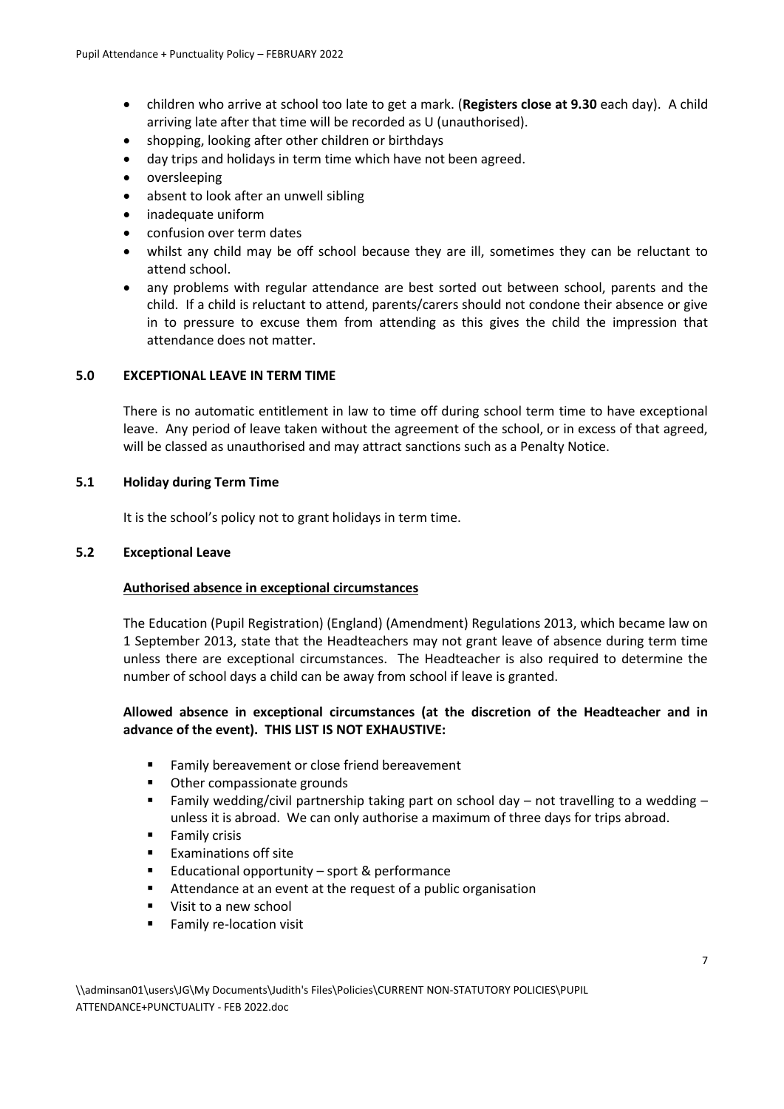- children who arrive at school too late to get a mark. (**Registers close at 9.30** each day). A child arriving late after that time will be recorded as U (unauthorised).
- shopping, looking after other children or birthdays
- day trips and holidays in term time which have not been agreed.
- oversleeping
- absent to look after an unwell sibling
- inadequate uniform
- confusion over term dates
- whilst any child may be off school because they are ill, sometimes they can be reluctant to attend school.
- any problems with regular attendance are best sorted out between school, parents and the child. If a child is reluctant to attend, parents/carers should not condone their absence or give in to pressure to excuse them from attending as this gives the child the impression that attendance does not matter.

# **5.0 EXCEPTIONAL LEAVE IN TERM TIME**

There is no automatic entitlement in law to time off during school term time to have exceptional leave. Any period of leave taken without the agreement of the school, or in excess of that agreed, will be classed as unauthorised and may attract sanctions such as a Penalty Notice.

# **5.1 Holiday during Term Time**

It is the school's policy not to grant holidays in term time.

# **5.2 Exceptional Leave**

# **Authorised absence in exceptional circumstances**

The Education (Pupil Registration) (England) (Amendment) Regulations 2013, which became law on 1 September 2013, state that the Headteachers may not grant leave of absence during term time unless there are exceptional circumstances. The Headteacher is also required to determine the number of school days a child can be away from school if leave is granted.

# **Allowed absence in exceptional circumstances (at the discretion of the Headteacher and in advance of the event). THIS LIST IS NOT EXHAUSTIVE:**

- Family bereavement or close friend bereavement
- Other compassionate grounds
- Family wedding/civil partnership taking part on school day not travelling to a wedding unless it is abroad. We can only authorise a maximum of three days for trips abroad.
- Family crisis
- **Examinations off site**
- Educational opportunity sport & performance
- Attendance at an event at the request of a public organisation
- **Visit to a new school**
- **Family re-location visit**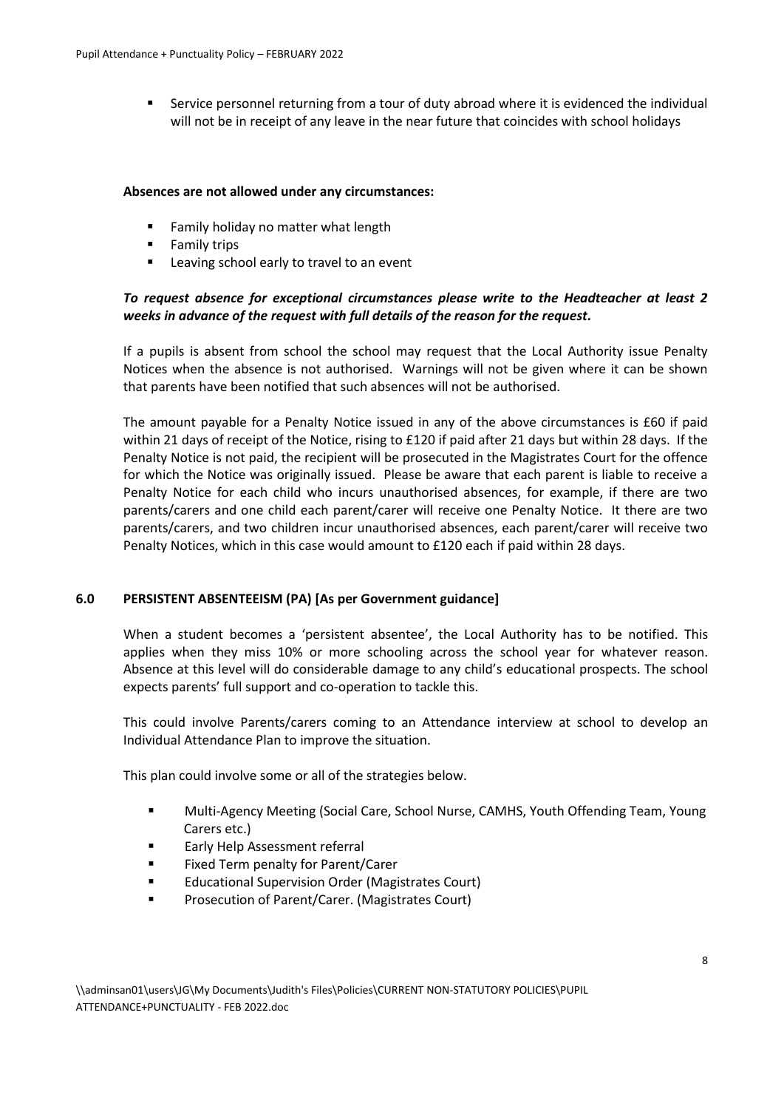Service personnel returning from a tour of duty abroad where it is evidenced the individual will not be in receipt of any leave in the near future that coincides with school holidays

#### **Absences are not allowed under any circumstances:**

- **Family holiday no matter what length**
- **Family trips**
- Leaving school early to travel to an event

# *To request absence for exceptional circumstances please write to the Headteacher at least 2 weeks in advance of the request with full details of the reason for the request.*

If a pupils is absent from school the school may request that the Local Authority issue Penalty Notices when the absence is not authorised. Warnings will not be given where it can be shown that parents have been notified that such absences will not be authorised.

The amount payable for a Penalty Notice issued in any of the above circumstances is £60 if paid within 21 days of receipt of the Notice, rising to £120 if paid after 21 days but within 28 days. If the Penalty Notice is not paid, the recipient will be prosecuted in the Magistrates Court for the offence for which the Notice was originally issued. Please be aware that each parent is liable to receive a Penalty Notice for each child who incurs unauthorised absences, for example, if there are two parents/carers and one child each parent/carer will receive one Penalty Notice. It there are two parents/carers, and two children incur unauthorised absences, each parent/carer will receive two Penalty Notices, which in this case would amount to £120 each if paid within 28 days.

#### **6.0 PERSISTENT ABSENTEEISM (PA) [As per Government guidance]**

When a student becomes a 'persistent absentee', the Local Authority has to be notified. This applies when they miss 10% or more schooling across the school year for whatever reason. Absence at this level will do considerable damage to any child's educational prospects. The school expects parents' full support and co-operation to tackle this.

This could involve Parents/carers coming to an Attendance interview at school to develop an Individual Attendance Plan to improve the situation.

This plan could involve some or all of the strategies below.

- Multi-Agency Meeting (Social Care, School Nurse, CAMHS, Youth Offending Team, Young Carers etc.)
- **Early Help Assessment referral**
- **Fixed Term penalty for Parent/Carer**
- **Educational Supervision Order (Magistrates Court)**
- Prosecution of Parent/Carer. (Magistrates Court)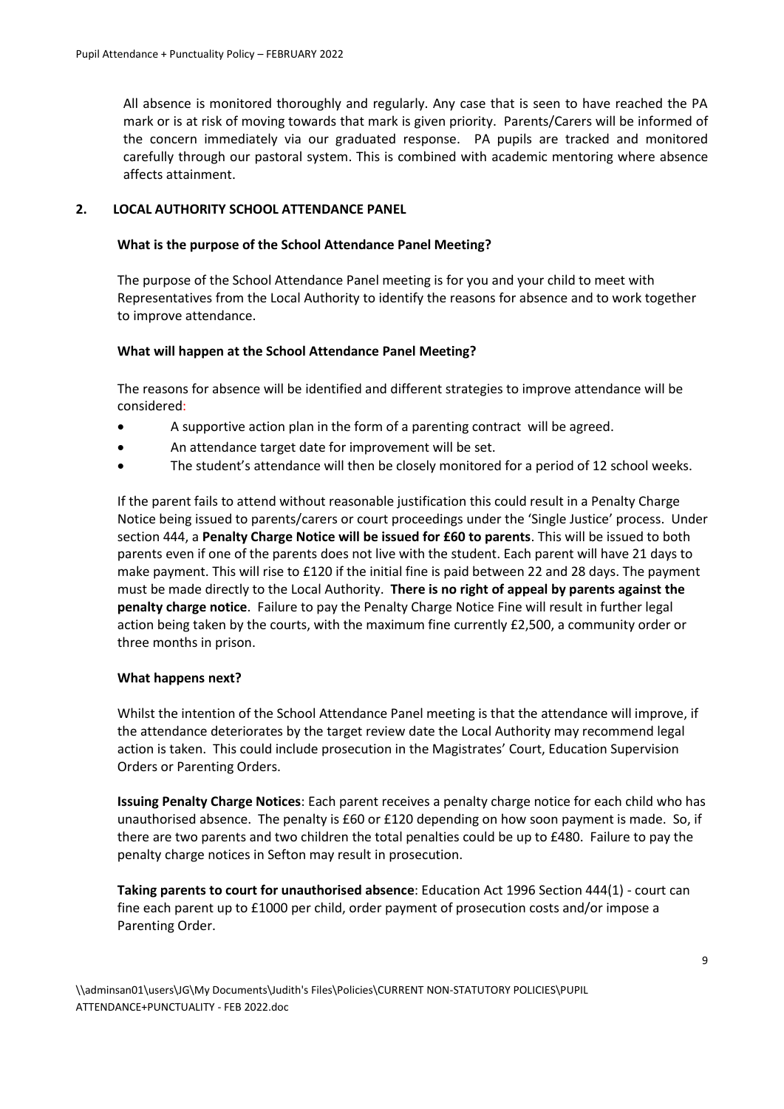All absence is monitored thoroughly and regularly. Any case that is seen to have reached the PA mark or is at risk of moving towards that mark is given priority. Parents/Carers will be informed of the concern immediately via our graduated response. PA pupils are tracked and monitored carefully through our pastoral system. This is combined with academic mentoring where absence affects attainment.

# **2. LOCAL AUTHORITY SCHOOL ATTENDANCE PANEL**

# **What is the purpose of the School Attendance Panel Meeting?**

The purpose of the School Attendance Panel meeting is for you and your child to meet with Representatives from the Local Authority to identify the reasons for absence and to work together to improve attendance.

# **What will happen at the School Attendance Panel Meeting?**

The reasons for absence will be identified and different strategies to improve attendance will be considered:

- A supportive action plan in the form of a parenting contract will be agreed.
- An attendance target date for improvement will be set.
- The student's attendance will then be closely monitored for a period of 12 school weeks.

If the parent fails to attend without reasonable justification this could result in a Penalty Charge Notice being issued to parents/carers or court proceedings under the 'Single Justice' process. Under section 444, a **Penalty Charge Notice will be issued for £60 to parents**. This will be issued to both parents even if one of the parents does not live with the student. Each parent will have 21 days to make payment. This will rise to £120 if the initial fine is paid between 22 and 28 days. The payment must be made directly to the Local Authority. **There is no right of appeal by parents against the penalty charge notice**. Failure to pay the Penalty Charge Notice Fine will result in further legal action being taken by the courts, with the maximum fine currently £2,500, a community order or three months in prison.

#### **What happens next?**

Whilst the intention of the School Attendance Panel meeting is that the attendance will improve, if the attendance deteriorates by the target review date the Local Authority may recommend legal action is taken. This could include prosecution in the Magistrates' Court, Education Supervision Orders or Parenting Orders.

**Issuing Penalty Charge Notices**: Each parent receives a penalty charge notice for each child who has unauthorised absence. The penalty is £60 or £120 depending on how soon payment is made. So, if there are two parents and two children the total penalties could be up to £480. Failure to pay the penalty charge notices in Sefton may result in prosecution.

**Taking parents to court for unauthorised absence**: Education Act 1996 Section 444(1) - court can fine each parent up to £1000 per child, order payment of prosecution costs and/or impose a Parenting Order.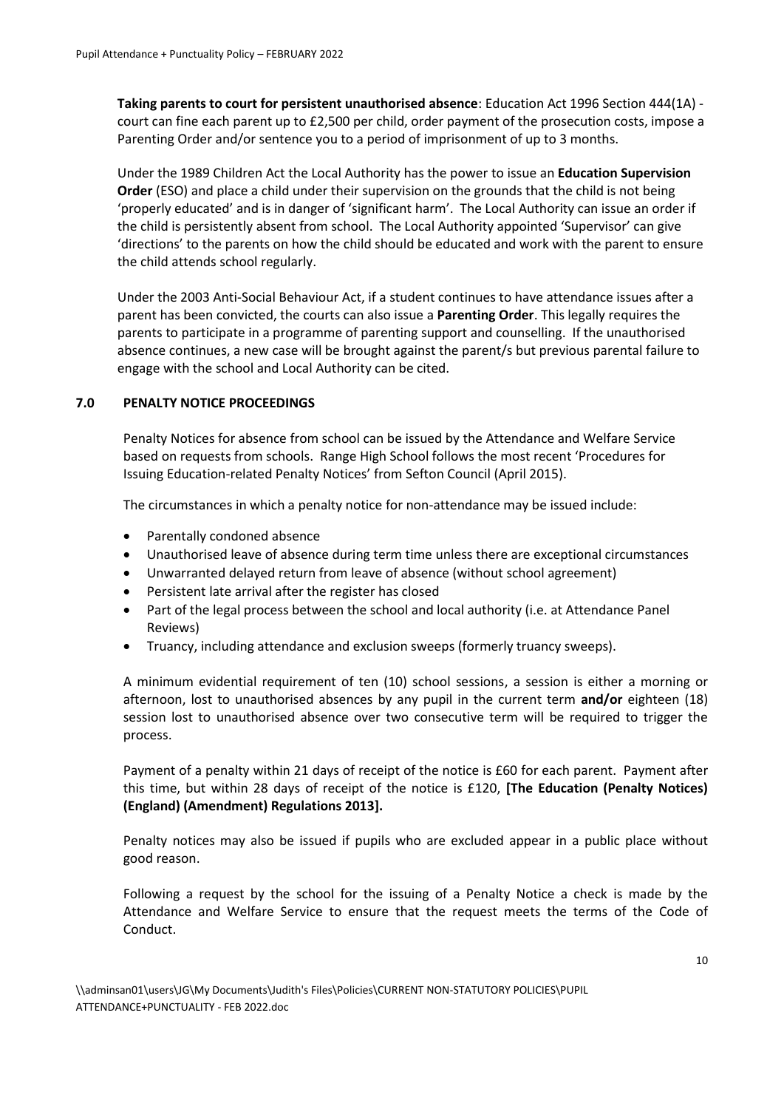**Taking parents to court for persistent unauthorised absence**: Education Act 1996 Section 444(1A) court can fine each parent up to £2,500 per child, order payment of the prosecution costs, impose a Parenting Order and/or sentence you to a period of imprisonment of up to 3 months.

Under the 1989 Children Act the Local Authority has the power to issue an **Education Supervision Order** (ESO) and place a child under their supervision on the grounds that the child is not being 'properly educated' and is in danger of 'significant harm'. The Local Authority can issue an order if the child is persistently absent from school. The Local Authority appointed 'Supervisor' can give 'directions' to the parents on how the child should be educated and work with the parent to ensure the child attends school regularly.

Under the 2003 Anti-Social Behaviour Act, if a student continues to have attendance issues after a parent has been convicted, the courts can also issue a **Parenting Order**. This legally requires the parents to participate in a programme of parenting support and counselling. If the unauthorised absence continues, a new case will be brought against the parent/s but previous parental failure to engage with the school and Local Authority can be cited.

# **7.0 PENALTY NOTICE PROCEEDINGS**

Penalty Notices for absence from school can be issued by the Attendance and Welfare Service based on requests from schools. Range High School follows the most recent 'Procedures for Issuing Education-related Penalty Notices' from Sefton Council (April 2015).

The circumstances in which a penalty notice for non-attendance may be issued include:

- Parentally condoned absence
- Unauthorised leave of absence during term time unless there are exceptional circumstances
- Unwarranted delayed return from leave of absence (without school agreement)
- Persistent late arrival after the register has closed
- Part of the legal process between the school and local authority (i.e. at Attendance Panel Reviews)
- Truancy, including attendance and exclusion sweeps (formerly truancy sweeps).

A minimum evidential requirement of ten (10) school sessions, a session is either a morning or afternoon, lost to unauthorised absences by any pupil in the current term **and/or** eighteen (18) session lost to unauthorised absence over two consecutive term will be required to trigger the process.

Payment of a penalty within 21 days of receipt of the notice is £60 for each parent. Payment after this time, but within 28 days of receipt of the notice is £120, **[The Education (Penalty Notices) (England) (Amendment) Regulations 2013].**

Penalty notices may also be issued if pupils who are excluded appear in a public place without good reason.

Following a request by the school for the issuing of a Penalty Notice a check is made by the Attendance and Welfare Service to ensure that the request meets the terms of the Code of Conduct.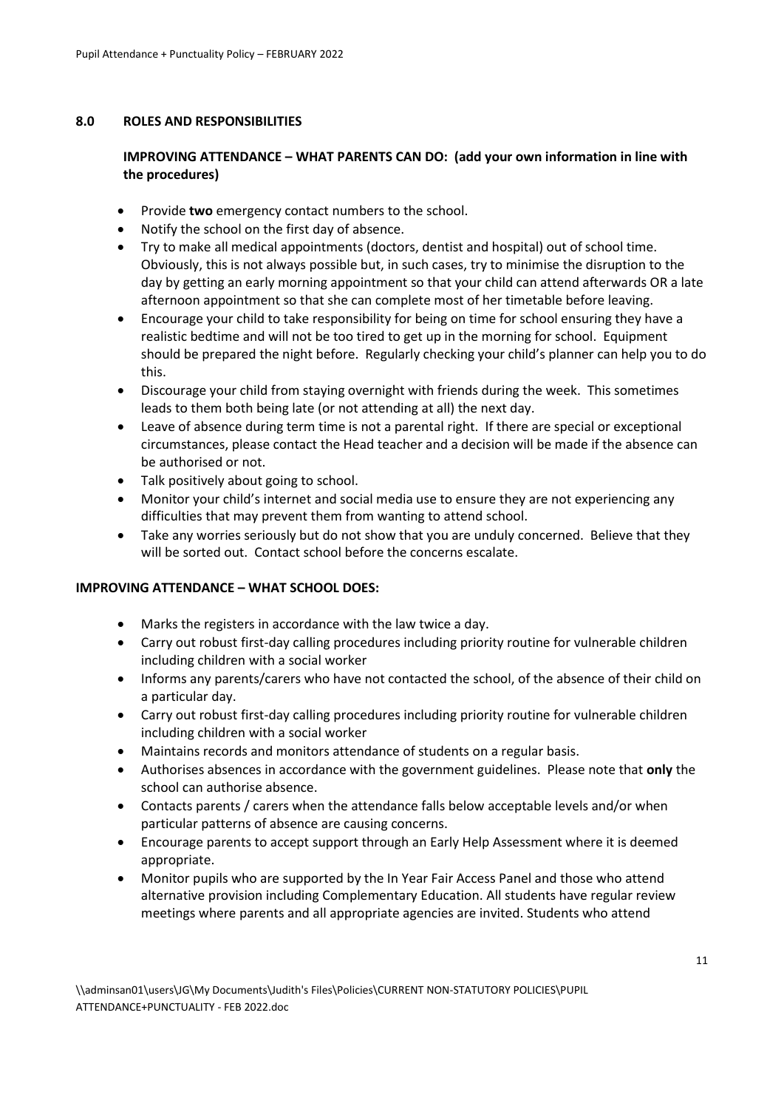#### **8.0 ROLES AND RESPONSIBILITIES**

# **IMPROVING ATTENDANCE – WHAT PARENTS CAN DO: (add your own information in line with the procedures)**

- Provide **two** emergency contact numbers to the school.
- Notify the school on the first day of absence.
- Try to make all medical appointments (doctors, dentist and hospital) out of school time. Obviously, this is not always possible but, in such cases, try to minimise the disruption to the day by getting an early morning appointment so that your child can attend afterwards OR a late afternoon appointment so that she can complete most of her timetable before leaving.
- Encourage your child to take responsibility for being on time for school ensuring they have a realistic bedtime and will not be too tired to get up in the morning for school. Equipment should be prepared the night before. Regularly checking your child's planner can help you to do this.
- Discourage your child from staying overnight with friends during the week. This sometimes leads to them both being late (or not attending at all) the next day.
- Leave of absence during term time is not a parental right. If there are special or exceptional circumstances, please contact the Head teacher and a decision will be made if the absence can be authorised or not.
- Talk positively about going to school.
- Monitor your child's internet and social media use to ensure they are not experiencing any difficulties that may prevent them from wanting to attend school.
- Take any worries seriously but do not show that you are unduly concerned. Believe that they will be sorted out. Contact school before the concerns escalate.

#### **IMPROVING ATTENDANCE – WHAT SCHOOL DOES:**

- Marks the registers in accordance with the law twice a day.
- Carry out robust first-day calling procedures including priority routine for vulnerable children including children with a social worker
- Informs any parents/carers who have not contacted the school, of the absence of their child on a particular day.
- Carry out robust first-day calling procedures including priority routine for vulnerable children including children with a social worker
- Maintains records and monitors attendance of students on a regular basis.
- Authorises absences in accordance with the government guidelines. Please note that **only** the school can authorise absence.
- Contacts parents / carers when the attendance falls below acceptable levels and/or when particular patterns of absence are causing concerns.
- Encourage parents to accept support through an Early Help Assessment where it is deemed appropriate.
- Monitor pupils who are supported by the In Year Fair Access Panel and those who attend alternative provision including Complementary Education. All students have regular review meetings where parents and all appropriate agencies are invited. Students who attend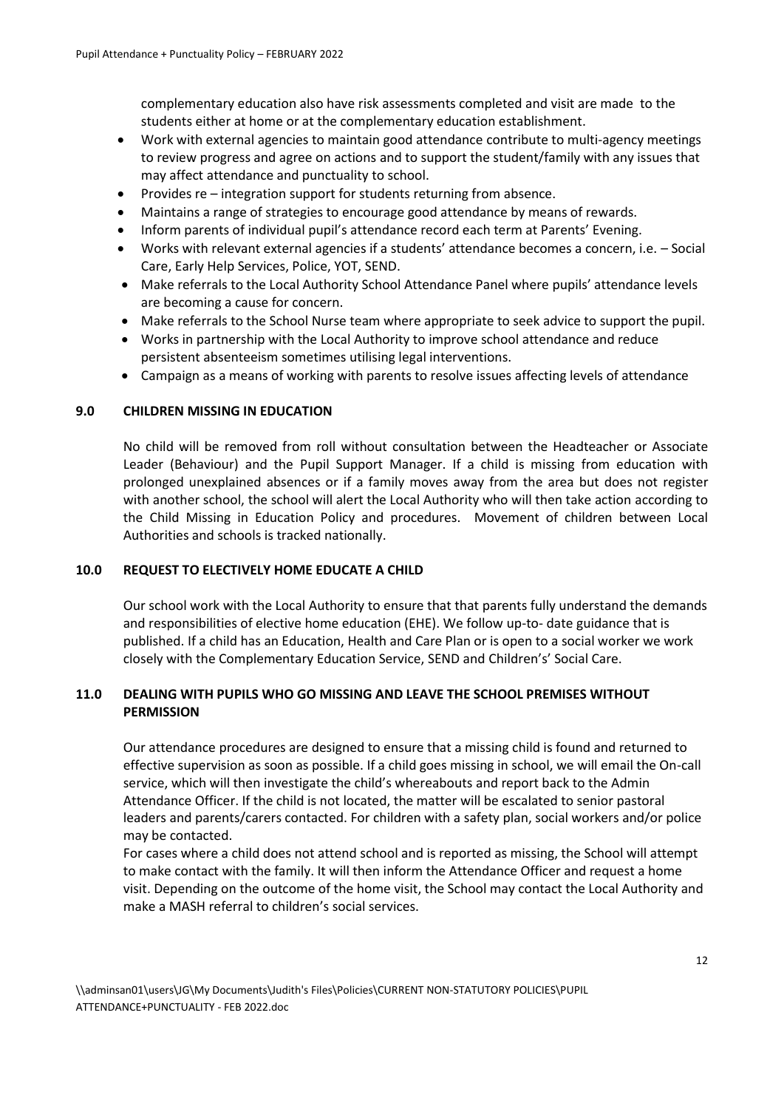complementary education also have risk assessments completed and visit are made to the students either at home or at the complementary education establishment.

- Work with external agencies to maintain good attendance contribute to multi-agency meetings to review progress and agree on actions and to support the student/family with any issues that may affect attendance and punctuality to school.
- Provides re integration support for students returning from absence.
- Maintains a range of strategies to encourage good attendance by means of rewards.
- Inform parents of individual pupil's attendance record each term at Parents' Evening.
- Works with relevant external agencies if a students' attendance becomes a concern, i.e. Social Care, Early Help Services, Police, YOT, SEND.
- Make referrals to the Local Authority School Attendance Panel where pupils' attendance levels are becoming a cause for concern.
- Make referrals to the School Nurse team where appropriate to seek advice to support the pupil.
- Works in partnership with the Local Authority to improve school attendance and reduce persistent absenteeism sometimes utilising legal interventions.
- Campaign as a means of working with parents to resolve issues affecting levels of attendance

#### **9.0 CHILDREN MISSING IN EDUCATION**

No child will be removed from roll without consultation between the Headteacher or Associate Leader (Behaviour) and the Pupil Support Manager. If a child is missing from education with prolonged unexplained absences or if a family moves away from the area but does not register with another school, the school will alert the Local Authority who will then take action according to the Child Missing in Education Policy and procedures. Movement of children between Local Authorities and schools is tracked nationally.

#### **10.0 REQUEST TO ELECTIVELY HOME EDUCATE A CHILD**

Our school work with the Local Authority to ensure that that parents fully understand the demands and responsibilities of elective home education (EHE). We follow up-to- date guidance that is published. If a child has an Education, Health and Care Plan or is open to a social worker we work closely with the Complementary Education Service, SEND and Children's' Social Care.

# **11.0 DEALING WITH PUPILS WHO GO MISSING AND LEAVE THE SCHOOL PREMISES WITHOUT PERMISSION**

Our attendance procedures are designed to ensure that a missing child is found and returned to effective supervision as soon as possible. If a child goes missing in school, we will email the On-call service, which will then investigate the child's whereabouts and report back to the Admin Attendance Officer. If the child is not located, the matter will be escalated to senior pastoral leaders and parents/carers contacted. For children with a safety plan, social workers and/or police may be contacted.

For cases where a child does not attend school and is reported as missing, the School will attempt to make contact with the family. It will then inform the Attendance Officer and request a home visit. Depending on the outcome of the home visit, the School may contact the Local Authority and make a MASH referral to children's social services.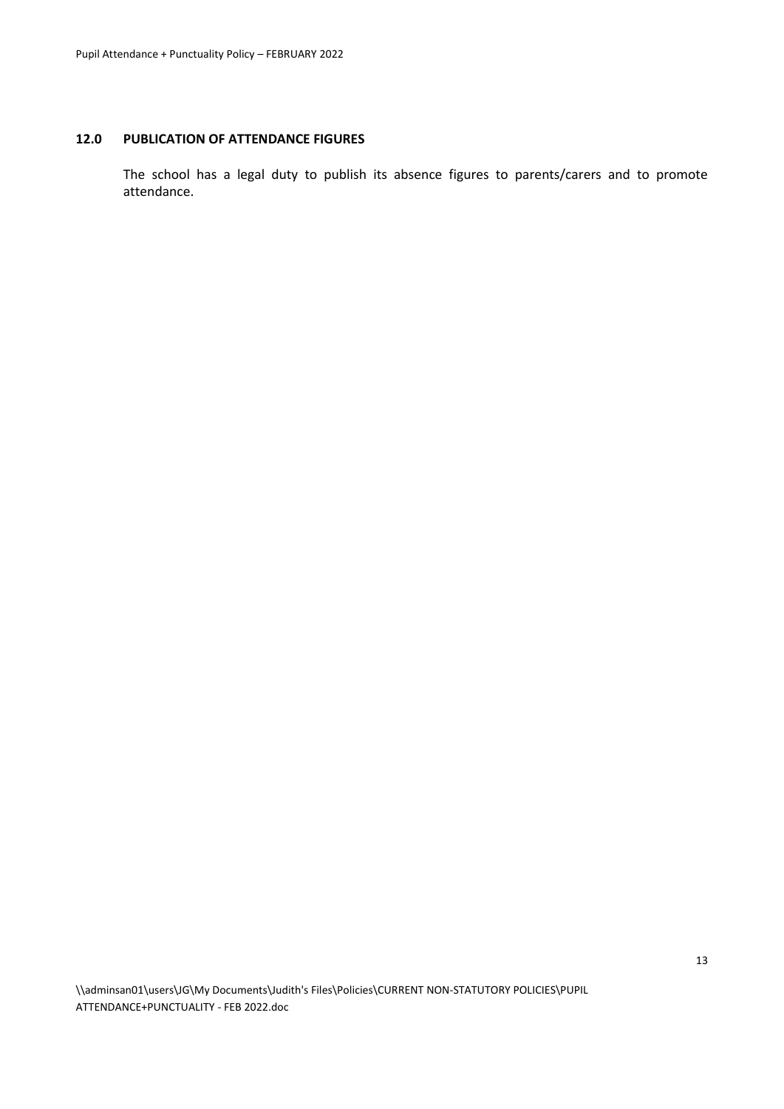#### **12.0 PUBLICATION OF ATTENDANCE FIGURES**

The school has a legal duty to publish its absence figures to parents/carers and to promote attendance.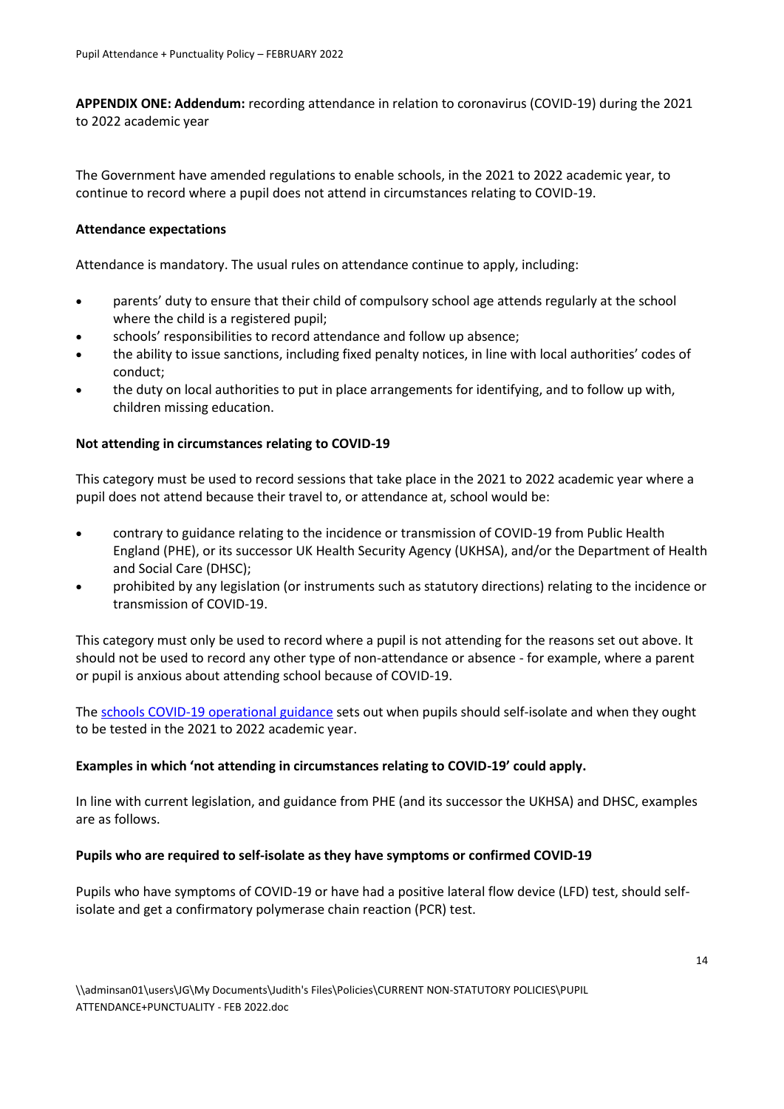**APPENDIX ONE: Addendum:** recording attendance in relation to coronavirus (COVID-19) during the 2021 to 2022 academic year

The Government have amended regulations to enable schools, in the 2021 to 2022 academic year, to continue to record where a pupil does not attend in circumstances relating to COVID-19.

# **Attendance expectations**

Attendance is mandatory. The usual rules on attendance continue to apply, including:

- parents' duty to ensure that their child of compulsory school age attends regularly at the school where the child is a registered pupil;
- schools' responsibilities to record attendance and follow up absence;
- the ability to issue sanctions, including fixed penalty notices, in line with local authorities' codes of conduct;
- the duty on local authorities to put in place arrangements for identifying, and to follow up with, children missing education.

# **Not attending in circumstances relating to COVID-19**

This category must be used to record sessions that take place in the 2021 to 2022 academic year where a pupil does not attend because their travel to, or attendance at, school would be:

- contrary to guidance relating to the incidence or transmission of COVID-19 from Public Health England (PHE), or its successor UK Health Security Agency (UKHSA), and/or the Department of Health and Social Care (DHSC);
- prohibited by any legislation (or instruments such as statutory directions) relating to the incidence or transmission of COVID-19.

This category must only be used to record where a pupil is not attending for the reasons set out above. It should not be used to record any other type of non-attendance or absence - for example, where a parent or pupil is anxious about attending school because of COVID-19.

Th[e schools COVID-19 operational guidance](https://www.gov.uk/government/publications/actions-for-schools-during-the-coronavirus-outbreak/schools-covid-19-operational-guidance) sets out when pupils should self-isolate and when they ought to be tested in the 2021 to 2022 academic year.

# **Examples in which 'not attending in circumstances relating to COVID-19' could apply.**

In line with current legislation, and guidance from PHE (and its successor the UKHSA) and DHSC, examples are as follows.

#### **Pupils who are required to self-isolate as they have symptoms or confirmed COVID-19**

Pupils who have symptoms of COVID-19 or have had a positive lateral flow device (LFD) test, should selfisolate and get a confirmatory polymerase chain reaction (PCR) test.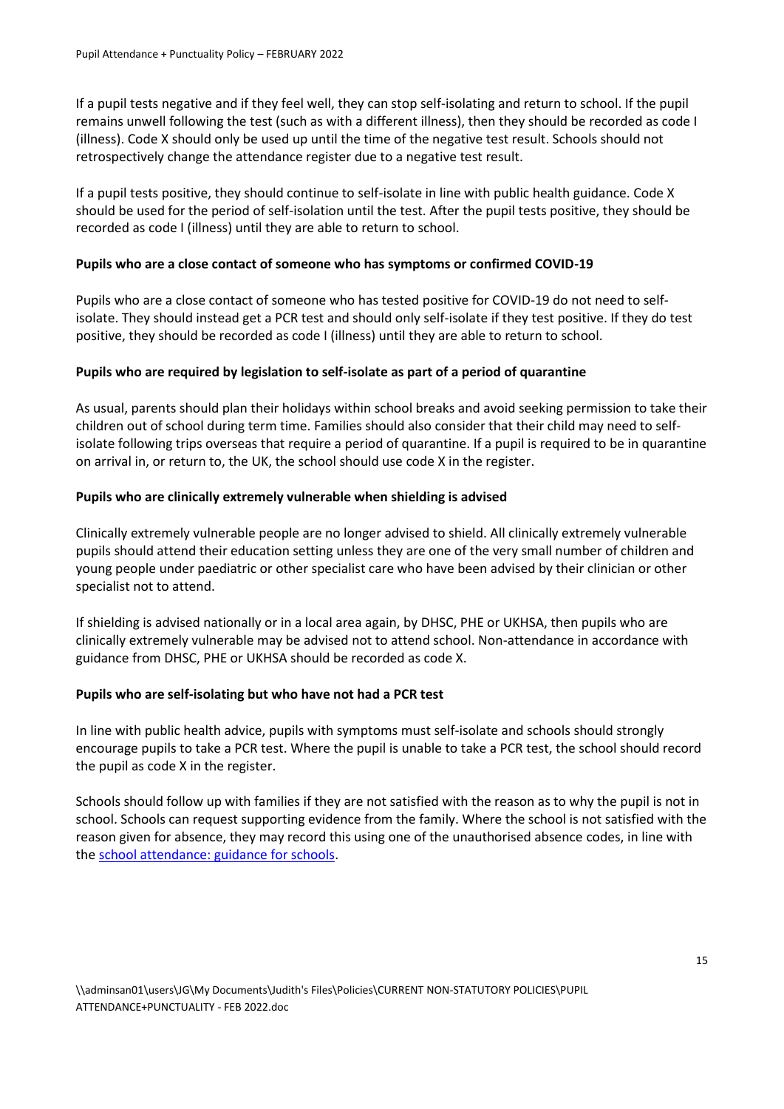If a pupil tests negative and if they feel well, they can stop self-isolating and return to school. If the pupil remains unwell following the test (such as with a different illness), then they should be recorded as code I (illness). Code X should only be used up until the time of the negative test result. Schools should not retrospectively change the attendance register due to a negative test result.

If a pupil tests positive, they should continue to self-isolate in line with public health guidance. Code X should be used for the period of self-isolation until the test. After the pupil tests positive, they should be recorded as code I (illness) until they are able to return to school.

# **Pupils who are a close contact of someone who has symptoms or confirmed COVID-19**

Pupils who are a close contact of someone who has tested positive for COVID-19 do not need to selfisolate. They should instead get a PCR test and should only self-isolate if they test positive. If they do test positive, they should be recorded as code I (illness) until they are able to return to school.

#### **Pupils who are required by legislation to self-isolate as part of a period of quarantine**

As usual, parents should plan their holidays within school breaks and avoid seeking permission to take their children out of school during term time. Families should also consider that their child may need to selfisolate following trips overseas that require a period of quarantine. If a pupil is required to be in quarantine on arrival in, or return to, the UK, the school should use code X in the register.

# **Pupils who are clinically extremely vulnerable when shielding is advised**

Clinically extremely vulnerable people are no longer advised to shield. All clinically extremely vulnerable pupils should attend their education setting unless they are one of the very small number of children and young people under paediatric or other specialist care who have been advised by their clinician or other specialist not to attend.

If shielding is advised nationally or in a local area again, by DHSC, PHE or UKHSA, then pupils who are clinically extremely vulnerable may be advised not to attend school. Non-attendance in accordance with guidance from DHSC, PHE or UKHSA should be recorded as code X.

#### **Pupils who are self-isolating but who have not had a PCR test**

In line with public health advice, pupils with symptoms must self-isolate and schools should strongly encourage pupils to take a PCR test. Where the pupil is unable to take a PCR test, the school should record the pupil as code X in the register.

Schools should follow up with families if they are not satisfied with the reason as to why the pupil is not in school. Schools can request supporting evidence from the family. Where the school is not satisfied with the reason given for absence, they may record this using one of the unauthorised absence codes, in line with the [school attendance: guidance for schools.](https://www.gov.uk/government/publications/school-attendance)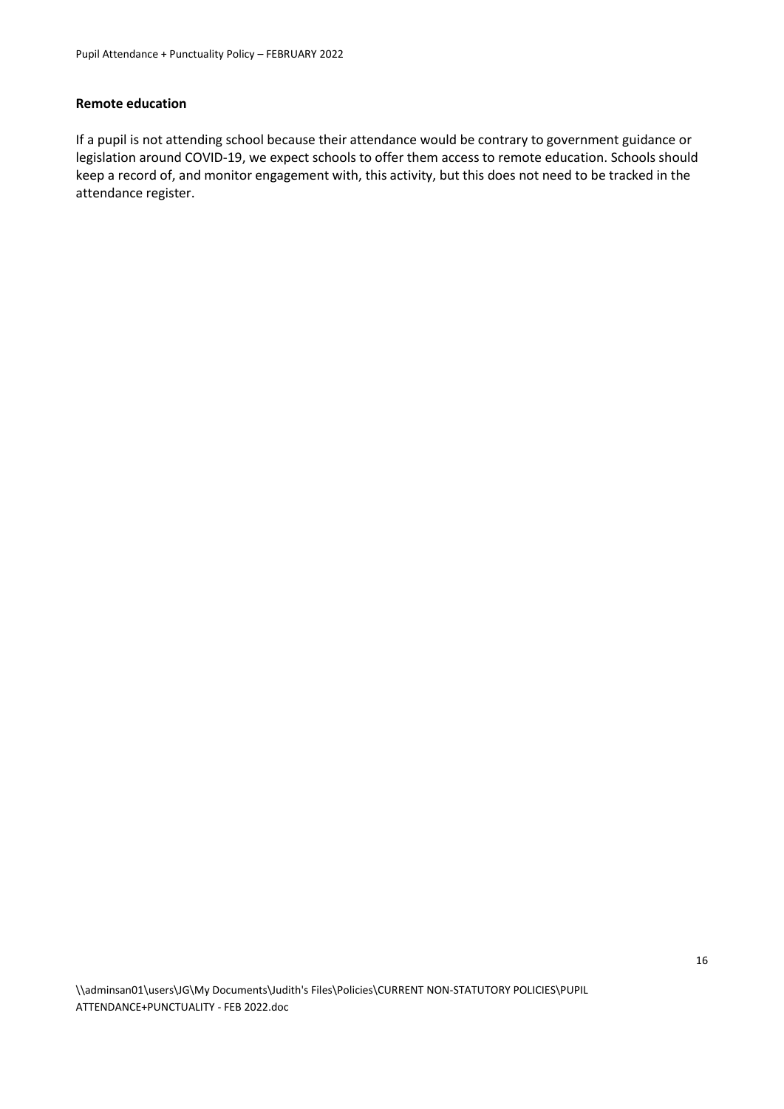#### **Remote education**

If a pupil is not attending school because their attendance would be contrary to government guidance or legislation around COVID-19, we expect schools to offer them access to remote education. Schools should keep a record of, and monitor engagement with, this activity, but this does not need to be tracked in the attendance register.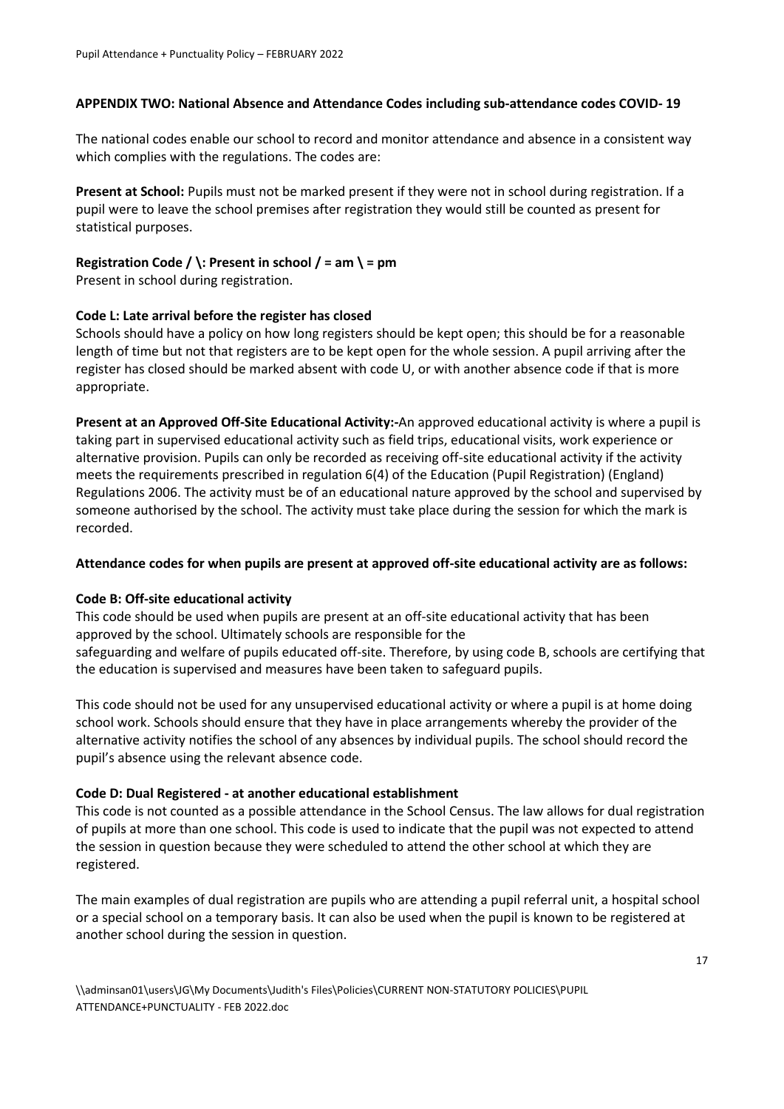# **APPENDIX TWO: National Absence and Attendance Codes including sub-attendance codes COVID- 19**

The national codes enable our school to record and monitor attendance and absence in a consistent way which complies with the regulations. The codes are:

**Present at School:** Pupils must not be marked present if they were not in school during registration. If a pupil were to leave the school premises after registration they would still be counted as present for statistical purposes.

# **Registration Code / \: Present in school / = am \ = pm**

Present in school during registration.

# **Code L: Late arrival before the register has closed**

Schools should have a policy on how long registers should be kept open; this should be for a reasonable length of time but not that registers are to be kept open for the whole session. A pupil arriving after the register has closed should be marked absent with code U, or with another absence code if that is more appropriate.

**Present at an Approved Off-Site Educational Activity:-**An approved educational activity is where a pupil is taking part in supervised educational activity such as field trips, educational visits, work experience or alternative provision. Pupils can only be recorded as receiving off-site educational activity if the activity meets the requirements prescribed in regulation 6(4) of the Education (Pupil Registration) (England) Regulations 2006. The activity must be of an educational nature approved by the school and supervised by someone authorised by the school. The activity must take place during the session for which the mark is recorded.

#### **Attendance codes for when pupils are present at approved off-site educational activity are as follows:**

#### **Code B: Off-site educational activity**

This code should be used when pupils are present at an off-site educational activity that has been approved by the school. Ultimately schools are responsible for the safeguarding and welfare of pupils educated off-site. Therefore, by using code B, schools are certifying that the education is supervised and measures have been taken to safeguard pupils.

This code should not be used for any unsupervised educational activity or where a pupil is at home doing school work. Schools should ensure that they have in place arrangements whereby the provider of the alternative activity notifies the school of any absences by individual pupils. The school should record the pupil's absence using the relevant absence code.

# **Code D: Dual Registered - at another educational establishment**

This code is not counted as a possible attendance in the School Census. The law allows for dual registration of pupils at more than one school. This code is used to indicate that the pupil was not expected to attend the session in question because they were scheduled to attend the other school at which they are registered.

The main examples of dual registration are pupils who are attending a pupil referral unit, a hospital school or a special school on a temporary basis. It can also be used when the pupil is known to be registered at another school during the session in question.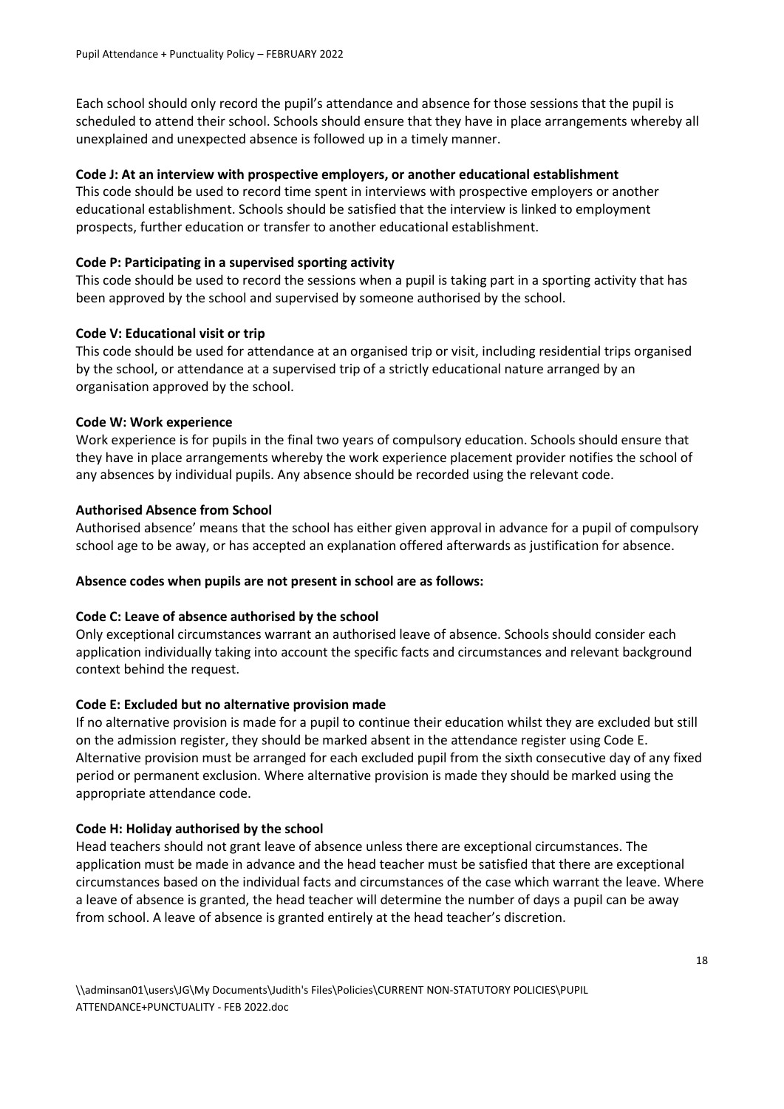Each school should only record the pupil's attendance and absence for those sessions that the pupil is scheduled to attend their school. Schools should ensure that they have in place arrangements whereby all unexplained and unexpected absence is followed up in a timely manner.

#### **Code J: At an interview with prospective employers, or another educational establishment**

This code should be used to record time spent in interviews with prospective employers or another educational establishment. Schools should be satisfied that the interview is linked to employment prospects, further education or transfer to another educational establishment.

#### **Code P: Participating in a supervised sporting activity**

This code should be used to record the sessions when a pupil is taking part in a sporting activity that has been approved by the school and supervised by someone authorised by the school.

#### **Code V: Educational visit or trip**

This code should be used for attendance at an organised trip or visit, including residential trips organised by the school, or attendance at a supervised trip of a strictly educational nature arranged by an organisation approved by the school.

#### **Code W: Work experience**

Work experience is for pupils in the final two years of compulsory education. Schools should ensure that they have in place arrangements whereby the work experience placement provider notifies the school of any absences by individual pupils. Any absence should be recorded using the relevant code.

#### **Authorised Absence from School**

Authorised absence' means that the school has either given approval in advance for a pupil of compulsory school age to be away, or has accepted an explanation offered afterwards as justification for absence.

#### **Absence codes when pupils are not present in school are as follows:**

#### **Code C: Leave of absence authorised by the school**

Only exceptional circumstances warrant an authorised leave of absence. Schools should consider each application individually taking into account the specific facts and circumstances and relevant background context behind the request.

#### **Code E: Excluded but no alternative provision made**

If no alternative provision is made for a pupil to continue their education whilst they are excluded but still on the admission register, they should be marked absent in the attendance register using Code E. Alternative provision must be arranged for each excluded pupil from the sixth consecutive day of any fixed period or permanent exclusion. Where alternative provision is made they should be marked using the appropriate attendance code.

#### **Code H: Holiday authorised by the school**

Head teachers should not grant leave of absence unless there are exceptional circumstances. The application must be made in advance and the head teacher must be satisfied that there are exceptional circumstances based on the individual facts and circumstances of the case which warrant the leave. Where a leave of absence is granted, the head teacher will determine the number of days a pupil can be away from school. A leave of absence is granted entirely at the head teacher's discretion.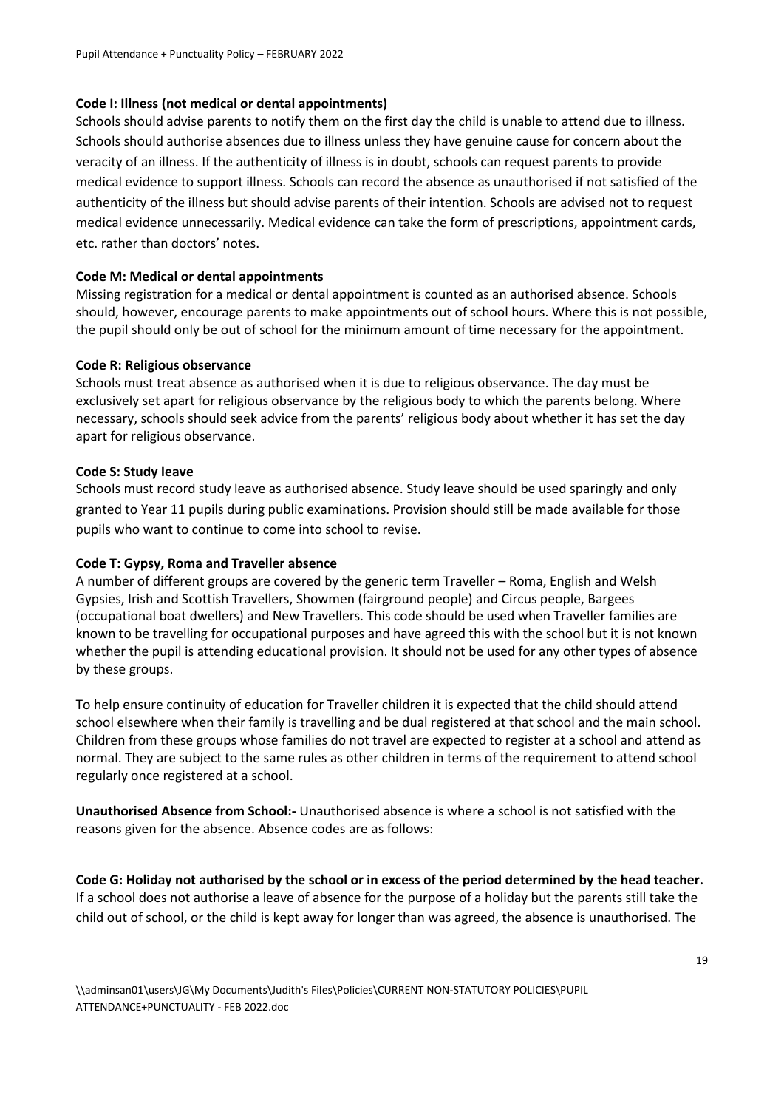# **Code I: Illness (not medical or dental appointments)**

Schools should advise parents to notify them on the first day the child is unable to attend due to illness. Schools should authorise absences due to illness unless they have genuine cause for concern about the veracity of an illness. If the authenticity of illness is in doubt, schools can request parents to provide medical evidence to support illness. Schools can record the absence as unauthorised if not satisfied of the authenticity of the illness but should advise parents of their intention. Schools are advised not to request medical evidence unnecessarily. Medical evidence can take the form of prescriptions, appointment cards, etc. rather than doctors' notes.

# **Code M: Medical or dental appointments**

Missing registration for a medical or dental appointment is counted as an authorised absence. Schools should, however, encourage parents to make appointments out of school hours. Where this is not possible, the pupil should only be out of school for the minimum amount of time necessary for the appointment.

#### **Code R: Religious observance**

Schools must treat absence as authorised when it is due to religious observance. The day must be exclusively set apart for religious observance by the religious body to which the parents belong. Where necessary, schools should seek advice from the parents' religious body about whether it has set the day apart for religious observance.

# **Code S: Study leave**

Schools must record study leave as authorised absence. Study leave should be used sparingly and only granted to Year 11 pupils during public examinations. Provision should still be made available for those pupils who want to continue to come into school to revise.

# **Code T: Gypsy, Roma and Traveller absence**

A number of different groups are covered by the generic term Traveller – Roma, English and Welsh Gypsies, Irish and Scottish Travellers, Showmen (fairground people) and Circus people, Bargees (occupational boat dwellers) and New Travellers. This code should be used when Traveller families are known to be travelling for occupational purposes and have agreed this with the school but it is not known whether the pupil is attending educational provision. It should not be used for any other types of absence by these groups.

To help ensure continuity of education for Traveller children it is expected that the child should attend school elsewhere when their family is travelling and be dual registered at that school and the main school. Children from these groups whose families do not travel are expected to register at a school and attend as normal. They are subject to the same rules as other children in terms of the requirement to attend school regularly once registered at a school.

**Unauthorised Absence from School:-** Unauthorised absence is where a school is not satisfied with the reasons given for the absence. Absence codes are as follows:

**Code G: Holiday not authorised by the school or in excess of the period determined by the head teacher.** If a school does not authorise a leave of absence for the purpose of a holiday but the parents still take the child out of school, or the child is kept away for longer than was agreed, the absence is unauthorised. The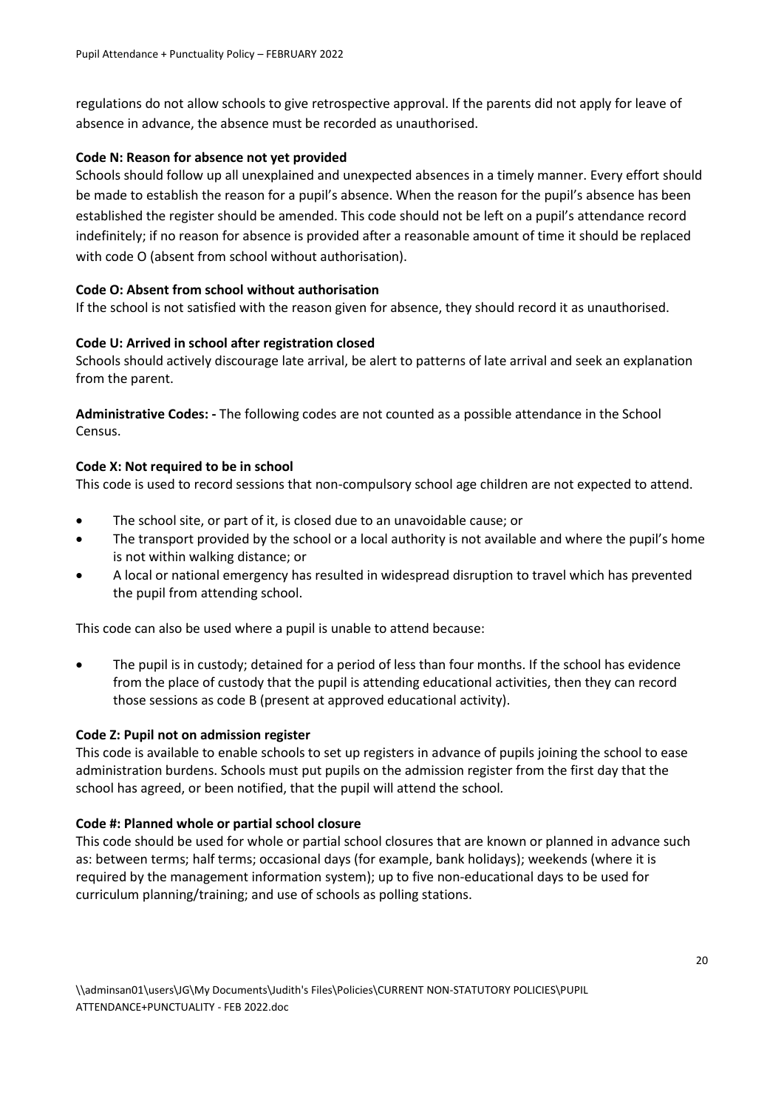regulations do not allow schools to give retrospective approval. If the parents did not apply for leave of absence in advance, the absence must be recorded as unauthorised.

# **Code N: Reason for absence not yet provided**

Schools should follow up all unexplained and unexpected absences in a timely manner. Every effort should be made to establish the reason for a pupil's absence. When the reason for the pupil's absence has been established the register should be amended. This code should not be left on a pupil's attendance record indefinitely; if no reason for absence is provided after a reasonable amount of time it should be replaced with code O (absent from school without authorisation).

# **Code O: Absent from school without authorisation**

If the school is not satisfied with the reason given for absence, they should record it as unauthorised.

# **Code U: Arrived in school after registration closed**

Schools should actively discourage late arrival, be alert to patterns of late arrival and seek an explanation from the parent.

**Administrative Codes: -** The following codes are not counted as a possible attendance in the School Census.

# **Code X: Not required to be in school**

This code is used to record sessions that non-compulsory school age children are not expected to attend.

- The school site, or part of it, is closed due to an unavoidable cause; or
- The transport provided by the school or a local authority is not available and where the pupil's home is not within walking distance; or
- A local or national emergency has resulted in widespread disruption to travel which has prevented the pupil from attending school.

This code can also be used where a pupil is unable to attend because:

 The pupil is in custody; detained for a period of less than four months. If the school has evidence from the place of custody that the pupil is attending educational activities, then they can record those sessions as code B (present at approved educational activity).

#### **Code Z: Pupil not on admission register**

This code is available to enable schools to set up registers in advance of pupils joining the school to ease administration burdens. Schools must put pupils on the admission register from the first day that the school has agreed, or been notified, that the pupil will attend the school*.*

#### **Code #: Planned whole or partial school closure**

This code should be used for whole or partial school closures that are known or planned in advance such as: between terms; half terms; occasional days (for example, bank holidays); weekends (where it is required by the management information system); up to five non-educational days to be used for curriculum planning/training; and use of schools as polling stations.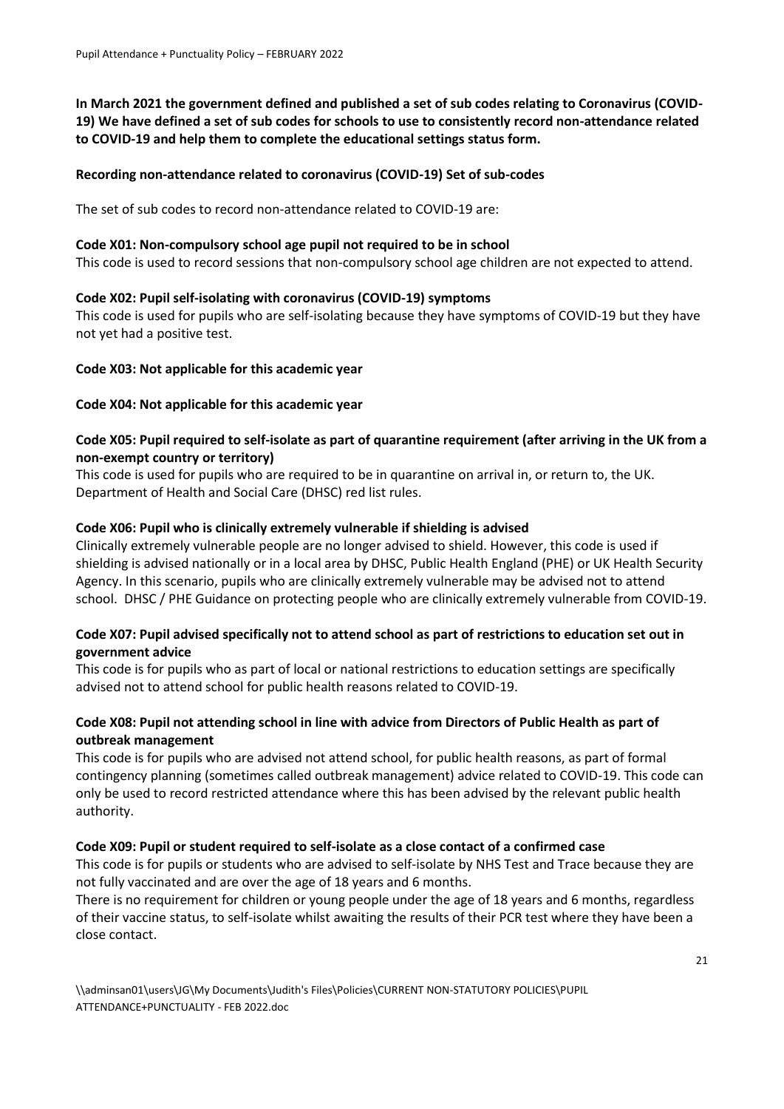**In March 2021 the government defined and published a set of sub codes relating to Coronavirus (COVID-19) We have defined a set of sub codes for schools to use to consistently record non-attendance related to COVID-19 and help them to complete the educational settings status form.** 

# **Recording non-attendance related to coronavirus (COVID-19) Set of sub-codes**

The set of sub codes to record non-attendance related to COVID-19 are:

#### **Code X01: Non-compulsory school age pupil not required to be in school**

This code is used to record sessions that non-compulsory school age children are not expected to attend.

#### **Code X02: Pupil self-isolating with coronavirus (COVID-19) symptoms**

This code is used for pupils who are self-isolating because they have symptoms of COVID-19 but they have not yet had a positive test.

#### **Code X03: Not applicable for this academic year**

#### **Code X04: Not applicable for this academic year**

# **Code X05: Pupil required to self-isolate as part of quarantine requirement (after arriving in the UK from a non-exempt country or territory)**

This code is used for pupils who are required to be in quarantine on arrival in, or return to, the UK. Department of Health and Social Care (DHSC) red list rules.

#### **Code X06: Pupil who is clinically extremely vulnerable if shielding is advised**

Clinically extremely vulnerable people are no longer advised to shield. However, this code is used if shielding is advised nationally or in a local area by DHSC, Public Health England (PHE) or UK Health Security Agency. In this scenario, pupils who are clinically extremely vulnerable may be advised not to attend school. DHSC / PHE Guidance on protecting people who are clinically extremely vulnerable from COVID-19.

# **Code X07: Pupil advised specifically not to attend school as part of restrictions to education set out in government advice**

This code is for pupils who as part of local or national restrictions to education settings are specifically advised not to attend school for public health reasons related to COVID-19.

# **Code X08: Pupil not attending school in line with advice from Directors of Public Health as part of outbreak management**

This code is for pupils who are advised not attend school, for public health reasons, as part of formal contingency planning (sometimes called outbreak management) advice related to COVID-19. This code can only be used to record restricted attendance where this has been advised by the relevant public health authority.

#### **Code X09: Pupil or student required to self-isolate as a close contact of a confirmed case**

This code is for pupils or students who are advised to self-isolate by NHS Test and Trace because they are not fully vaccinated and are over the age of 18 years and 6 months.

There is no requirement for children or young people under the age of 18 years and 6 months, regardless of their vaccine status, to self-isolate whilst awaiting the results of their PCR test where they have been a close contact.